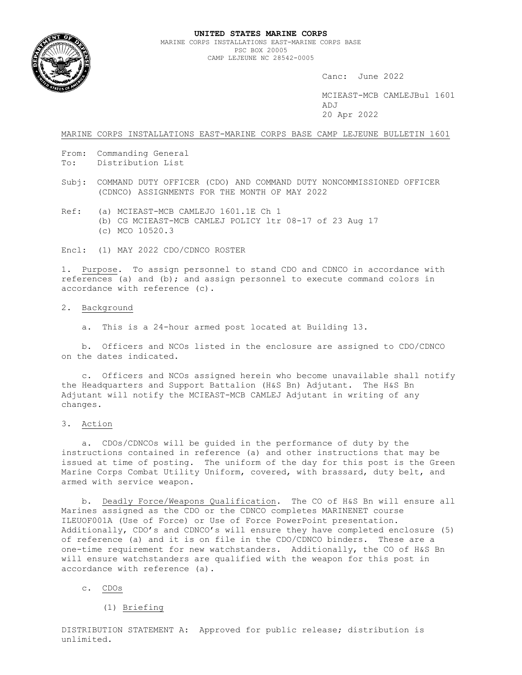

Canc: June 2022

 MCIEAST-MCB CAMLEJBul 1601 ADJ 20 Apr 2022

MARINE CORPS INSTALLATIONS EAST-MARINE CORPS BASE CAMP LEJEUNE BULLETIN 1601

- From: Commanding General
- To: Distribution List
- Subj: COMMAND DUTY OFFICER (CDO) AND COMMAND DUTY NONCOMMISSIONED OFFICER (CDNCO) ASSIGNMENTS FOR THE MONTH OF MAY 2022
- Ref: (a) MCIEAST-MCB CAMLEJO 1601.1E Ch 1 (b) CG MCIEAST-MCB CAMLEJ POLICY ltr 08-17 of 23 Aug 17 (c) MCO 10520.3

Encl: (1) MAY 2022 CDO/CDNCO ROSTER

1. Purpose. To assign personnel to stand CDO and CDNCO in accordance with references (a) and (b); and assign personnel to execute command colors in accordance with reference (c).

## 2. Background

a. This is a 24-hour armed post located at Building 13.

 b. Officers and NCOs listed in the enclosure are assigned to CDO/CDNCO on the dates indicated.

 c. Officers and NCOs assigned herein who become unavailable shall notify the Headquarters and Support Battalion (H&S Bn) Adjutant. The H&S Bn Adjutant will notify the MCIEAST-MCB CAMLEJ Adjutant in writing of any changes.

3. Action

 a. CDOs/CDNCOs will be guided in the performance of duty by the instructions contained in reference (a) and other instructions that may be issued at time of posting. The uniform of the day for this post is the Green Marine Corps Combat Utility Uniform, covered, with brassard, duty belt, and armed with service weapon.

 b. Deadly Force/Weapons Qualification. The CO of H&S Bn will ensure all Marines assigned as the CDO or the CDNCO completes MARINENET course ILEUOF001A (Use of Force) or Use of Force PowerPoint presentation. Additionally, CDO's and CDNCO's will ensure they have completed enclosure (5) of reference (a) and it is on file in the CDO/CDNCO binders. These are a one-time requirement for new watchstanders. Additionally, the CO of H&S Bn will ensure watchstanders are qualified with the weapon for this post in accordance with reference (a).

#### c. CDOs

(1) Briefing

DISTRIBUTION STATEMENT A: Approved for public release; distribution is unlimited.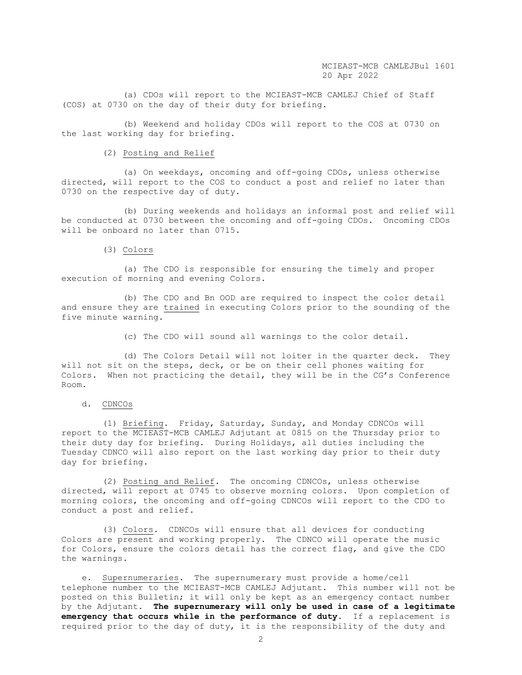(a) CDOs will report to the MCIEAST-MCB CAMLEJ Chief of Staff (COS) at 0730 on the day of their duty for briefing.

 (b) Weekend and holiday CDOs will report to the COS at 0730 on the last working day for briefing.

## (2) Posting and Relief

 (a) On weekdays, oncoming and off-going CDOs, unless otherwise directed, will report to the COS to conduct a post and relief no later than 0730 on the respective day of duty.

 (b) During weekends and holidays an informal post and relief will be conducted at 0730 between the oncoming and off-going CDOs. Oncoming CDOs will be onboard no later than 0715.

#### (3) Colors

 (a) The CDO is responsible for ensuring the timely and proper execution of morning and evening Colors.

 (b) The CDO and Bn OOD are required to inspect the color detail and ensure they are trained in executing Colors prior to the sounding of the five minute warning.

(c) The CDO will sound all warnings to the color detail.

 (d) The Colors Detail will not loiter in the quarter deck. They will not sit on the steps, deck, or be on their cell phones waiting for Colors. When not practicing the detail, they will be in the CG's Conference Room.

# d. CDNCOs

 (1) Briefing. Friday, Saturday, Sunday, and Monday CDNCOs will report to the MCIEAST-MCB CAMLEJ Adjutant at 0815 on the Thursday prior to their duty day for briefing. During Holidays, all duties including the Tuesday CDNCO will also report on the last working day prior to their duty day for briefing.

 (2) Posting and Relief. The oncoming CDNCOs, unless otherwise directed, will report at 0745 to observe morning colors. Upon completion of morning colors, the oncoming and off-going CDNCOs will report to the CDO to conduct a post and relief.

 (3) Colors. CDNCOs will ensure that all devices for conducting Colors are present and working properly. The CDNCO will operate the music for Colors, ensure the colors detail has the correct flag, and give the CDO the warnings.

 e. Supernumeraries. The supernumerary must provide a home/cell telephone number to the MCIEAST-MCB CAMLEJ Adjutant. This number will not be posted on this Bulletin; it will only be kept as an emergency contact number by the Adjutant. **The supernumerary will only be used in case of a legitimate emergency that occurs while in the performance of duty**. If a replacement is required prior to the day of duty, it is the responsibility of the duty and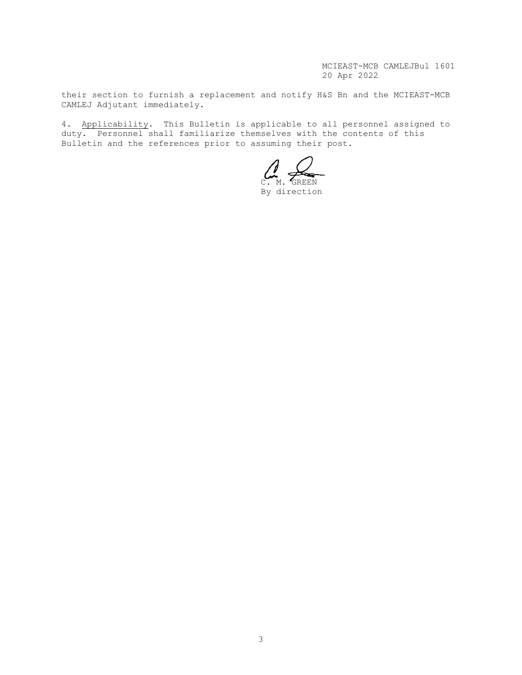MCIEAST-MCB CAMLEJBul 1601 20 Apr 2022

their section to furnish a replacement and notify H&S Bn and the MCIEAST-MCB CAMLEJ Adjutant immediately.

4. Applicability. This Bulletin is applicable to all personnel assigned to duty. Personnel shall familiarize themselves with the contents of this Bulletin and the references prior to assuming their post.

C. M. GREEN

By direction